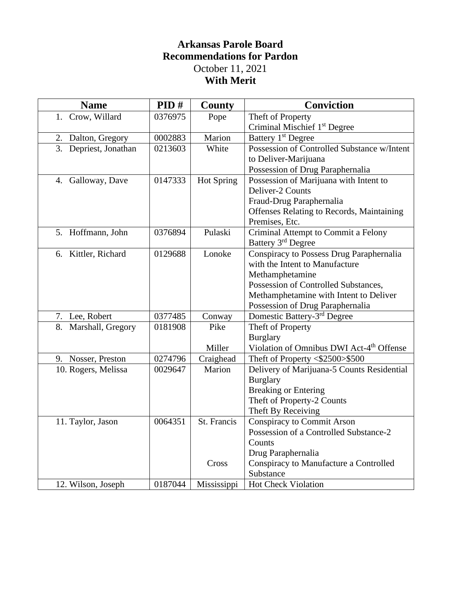## **Arkansas Parole Board Recommendations for Pardon** October 11, 2021 **With Merit**

| <b>Name</b>           | PID#    | <b>County</b>     | <b>Conviction</b>                                    |
|-----------------------|---------|-------------------|------------------------------------------------------|
| 1. Crow, Willard      | 0376975 | Pope              | Theft of Property                                    |
|                       |         |                   | Criminal Mischief 1 <sup>st</sup> Degree             |
| 2. Dalton, Gregory    | 0002883 | Marion            | Battery 1 <sup>st</sup> Degree                       |
| 3. Depriest, Jonathan | 0213603 | White             | Possession of Controlled Substance w/Intent          |
|                       |         |                   | to Deliver-Marijuana                                 |
|                       |         |                   | Possession of Drug Paraphernalia                     |
| 4. Galloway, Dave     | 0147333 | <b>Hot Spring</b> | Possession of Marijuana with Intent to               |
|                       |         |                   | Deliver-2 Counts                                     |
|                       |         |                   | Fraud-Drug Paraphernalia                             |
|                       |         |                   | <b>Offenses Relating to Records, Maintaining</b>     |
|                       |         |                   | Premises, Etc.                                       |
| 5. Hoffmann, John     | 0376894 | Pulaski           | Criminal Attempt to Commit a Felony                  |
|                       |         |                   | Battery 3 <sup>rd</sup> Degree                       |
| 6. Kittler, Richard   | 0129688 | Lonoke            | Conspiracy to Possess Drug Paraphernalia             |
|                       |         |                   | with the Intent to Manufacture                       |
|                       |         |                   | Methamphetamine                                      |
|                       |         |                   | Possession of Controlled Substances,                 |
|                       |         |                   | Methamphetamine with Intent to Deliver               |
|                       |         |                   | Possession of Drug Paraphernalia                     |
| 7. Lee, Robert        | 0377485 | Conway            | Domestic Battery-3 <sup>rd</sup> Degree              |
| 8. Marshall, Gregory  | 0181908 | Pike              | Theft of Property                                    |
|                       |         |                   | <b>Burglary</b>                                      |
|                       |         | Miller            | Violation of Omnibus DWI Act-4 <sup>th</sup> Offense |
| 9. Nosser, Preston    | 0274796 | Craighead         | Theft of Property <\$2500>\$500                      |
| 10. Rogers, Melissa   | 0029647 | Marion            | Delivery of Marijuana-5 Counts Residential           |
|                       |         |                   | <b>Burglary</b>                                      |
|                       |         |                   | <b>Breaking or Entering</b>                          |
|                       |         |                   | Theft of Property-2 Counts                           |
|                       |         |                   | Theft By Receiving                                   |
| 11. Taylor, Jason     | 0064351 | St. Francis       | <b>Conspiracy to Commit Arson</b>                    |
|                       |         |                   | Possession of a Controlled Substance-2               |
|                       |         |                   | Counts                                               |
|                       |         |                   | Drug Paraphernalia                                   |
|                       |         | Cross             | Conspiracy to Manufacture a Controlled               |
|                       |         |                   | Substance                                            |
| 12. Wilson, Joseph    | 0187044 | Mississippi       | Hot Check Violation                                  |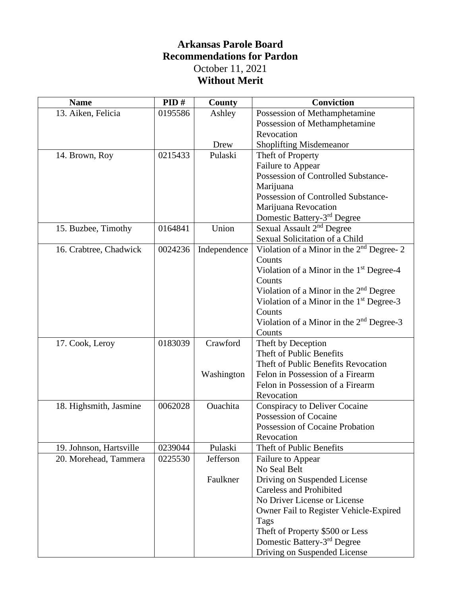## **Arkansas Parole Board Recommendations for Pardon** October 11, 2021 **Without Merit**

| <b>Name</b>             | PID#    | County       | Conviction                                           |
|-------------------------|---------|--------------|------------------------------------------------------|
| 13. Aiken, Felicia      | 0195586 | Ashley       | Possession of Methamphetamine                        |
|                         |         |              | Possession of Methamphetamine                        |
|                         |         |              | Revocation                                           |
|                         |         | Drew         | <b>Shoplifting Misdemeanor</b>                       |
| 14. Brown, Roy          | 0215433 | Pulaski      | Theft of Property                                    |
|                         |         |              | Failure to Appear                                    |
|                         |         |              | Possession of Controlled Substance-                  |
|                         |         |              | Marijuana                                            |
|                         |         |              | Possession of Controlled Substance-                  |
|                         |         |              | Marijuana Revocation                                 |
|                         |         |              | Domestic Battery-3 <sup>rd</sup> Degree              |
| 15. Buzbee, Timothy     | 0164841 | Union        | Sexual Assault 2 <sup>nd</sup> Degree                |
|                         |         |              | Sexual Solicitation of a Child                       |
| 16. Crabtree, Chadwick  | 0024236 | Independence | Violation of a Minor in the 2 <sup>nd</sup> Degree-2 |
|                         |         |              | Counts                                               |
|                         |         |              | Violation of a Minor in the $1st$ Degree-4           |
|                         |         |              | Counts                                               |
|                         |         |              | Violation of a Minor in the $2nd$ Degree             |
|                         |         |              | Violation of a Minor in the $1st$ Degree-3           |
|                         |         |              | Counts                                               |
|                         |         |              | Violation of a Minor in the 2 <sup>nd</sup> Degree-3 |
|                         |         |              | Counts                                               |
| 17. Cook, Leroy         | 0183039 | Crawford     | Theft by Deception                                   |
|                         |         |              | Theft of Public Benefits                             |
|                         |         |              | Theft of Public Benefits Revocation                  |
|                         |         | Washington   | Felon in Possession of a Firearm                     |
|                         |         |              | Felon in Possession of a Firearm                     |
|                         |         |              | Revocation                                           |
| 18. Highsmith, Jasmine  | 0062028 | Ouachita     | <b>Conspiracy to Deliver Cocaine</b>                 |
|                         |         |              | Possession of Cocaine                                |
|                         |         |              | Possession of Cocaine Probation                      |
|                         |         |              | Revocation                                           |
| 19. Johnson, Hartsville | 0239044 | Pulaski      | Theft of Public Benefits                             |
| 20. Morehead, Tammera   | 0225530 | Jefferson    | Failure to Appear                                    |
|                         |         |              | No Seal Belt                                         |
|                         |         | Faulkner     | Driving on Suspended License                         |
|                         |         |              | <b>Careless and Prohibited</b>                       |
|                         |         |              | No Driver License or License                         |
|                         |         |              | Owner Fail to Register Vehicle-Expired               |
|                         |         |              | Tags                                                 |
|                         |         |              | Theft of Property \$500 or Less                      |
|                         |         |              | Domestic Battery-3 <sup>rd</sup> Degree              |
|                         |         |              | Driving on Suspended License                         |